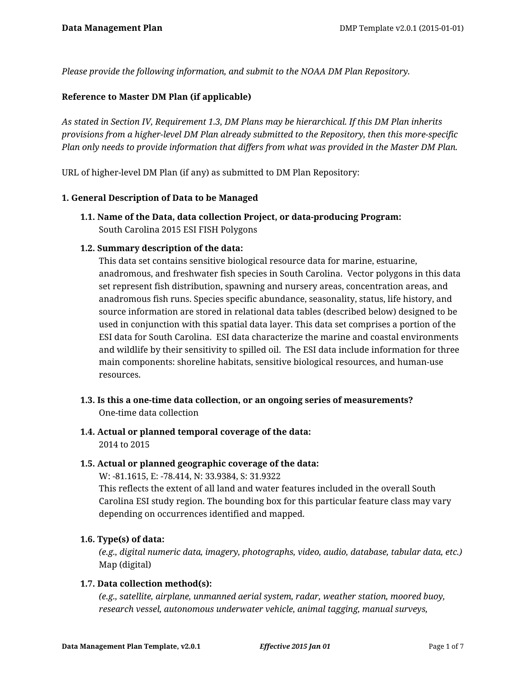*Please provide the following information, and submit to the NOAA DM Plan Repository.*

# **Reference to Master DM Plan (if applicable)**

*As stated in Section IV, Requirement 1.3, DM Plans may be hierarchical. If this DM Plan inherits provisions from a higher-level DM Plan already submitted to the Repository, then this more-specific Plan only needs to provide information that differs from what was provided in the Master DM Plan.*

URL of higher-level DM Plan (if any) as submitted to DM Plan Repository:

#### **1. General Description of Data to be Managed**

**1.1. Name of the Data, data collection Project, or data-producing Program:** South Carolina 2015 ESI FISH Polygons

### **1.2. Summary description of the data:**

This data set contains sensitive biological resource data for marine, estuarine, anadromous, and freshwater fish species in South Carolina. Vector polygons in this data set represent fish distribution, spawning and nursery areas, concentration areas, and anadromous fish runs. Species specific abundance, seasonality, status, life history, and source information are stored in relational data tables (described below) designed to be used in conjunction with this spatial data layer. This data set comprises a portion of the ESI data for South Carolina. ESI data characterize the marine and coastal environments and wildlife by their sensitivity to spilled oil. The ESI data include information for three main components: shoreline habitats, sensitive biological resources, and human-use resources.

- **1.3. Is this a one-time data collection, or an ongoing series of measurements?** One-time data collection
- **1.4. Actual or planned temporal coverage of the data:** 2014 to 2015

#### **1.5. Actual or planned geographic coverage of the data:**

W: -81.1615, E: -78.414, N: 33.9384, S: 31.9322 This reflects the extent of all land and water features included in the overall South Carolina ESI study region. The bounding box for this particular feature class may vary depending on occurrences identified and mapped.

# **1.6. Type(s) of data:**

*(e.g., digital numeric data, imagery, photographs, video, audio, database, tabular data, etc.)* Map (digital)

#### **1.7. Data collection method(s):**

*(e.g., satellite, airplane, unmanned aerial system, radar, weather station, moored buoy, research vessel, autonomous underwater vehicle, animal tagging, manual surveys,*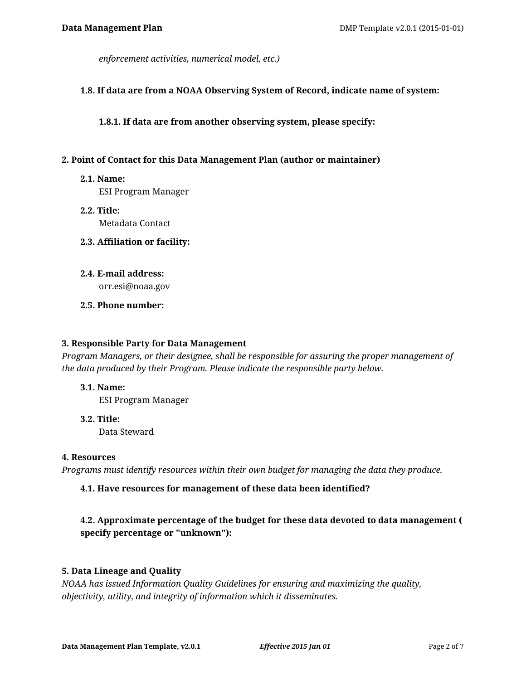*enforcement activities, numerical model, etc.)*

#### **1.8. If data are from a NOAA Observing System of Record, indicate name of system:**

**1.8.1. If data are from another observing system, please specify:**

#### **2. Point of Contact for this Data Management Plan (author or maintainer)**

**2.1. Name:**

ESI Program Manager

- **2.2. Title:** Metadata Contact
- **2.3. Affiliation or facility:**
- **2.4. E-mail address:** orr.esi@noaa.gov
- **2.5. Phone number:**

#### **3. Responsible Party for Data Management**

*Program Managers, or their designee, shall be responsible for assuring the proper management of the data produced by their Program. Please indicate the responsible party below.*

#### **3.1. Name:**

ESI Program Manager

**3.2. Title:** Data Steward

#### **4. Resources**

*Programs must identify resources within their own budget for managing the data they produce.*

# **4.1. Have resources for management of these data been identified?**

# **4.2. Approximate percentage of the budget for these data devoted to data management ( specify percentage or "unknown"):**

# **5. Data Lineage and Quality**

*NOAA has issued Information Quality Guidelines for ensuring and maximizing the quality, objectivity, utility, and integrity of information which it disseminates.*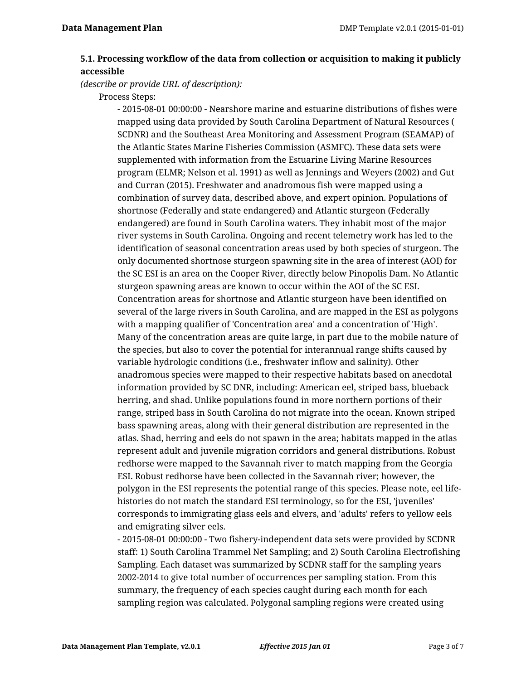# **5.1. Processing workflow of the data from collection or acquisition to making it publicly accessible**

*(describe or provide URL of description):*

Process Steps:

- 2015-08-01 00:00:00 - Nearshore marine and estuarine distributions of fishes were mapped using data provided by South Carolina Department of Natural Resources ( SCDNR) and the Southeast Area Monitoring and Assessment Program (SEAMAP) of the Atlantic States Marine Fisheries Commission (ASMFC). These data sets were supplemented with information from the Estuarine Living Marine Resources program (ELMR; Nelson et al. 1991) as well as Jennings and Weyers (2002) and Gut and Curran (2015). Freshwater and anadromous fish were mapped using a combination of survey data, described above, and expert opinion. Populations of shortnose (Federally and state endangered) and Atlantic sturgeon (Federally endangered) are found in South Carolina waters. They inhabit most of the major river systems in South Carolina. Ongoing and recent telemetry work has led to the identification of seasonal concentration areas used by both species of sturgeon. The only documented shortnose sturgeon spawning site in the area of interest (AOI) for the SC ESI is an area on the Cooper River, directly below Pinopolis Dam. No Atlantic sturgeon spawning areas are known to occur within the AOI of the SC ESI. Concentration areas for shortnose and Atlantic sturgeon have been identified on several of the large rivers in South Carolina, and are mapped in the ESI as polygons with a mapping qualifier of 'Concentration area' and a concentration of 'High'. Many of the concentration areas are quite large, in part due to the mobile nature of the species, but also to cover the potential for interannual range shifts caused by variable hydrologic conditions (i.e., freshwater inflow and salinity). Other anadromous species were mapped to their respective habitats based on anecdotal information provided by SC DNR, including: American eel, striped bass, blueback herring, and shad. Unlike populations found in more northern portions of their range, striped bass in South Carolina do not migrate into the ocean. Known striped bass spawning areas, along with their general distribution are represented in the atlas. Shad, herring and eels do not spawn in the area; habitats mapped in the atlas represent adult and juvenile migration corridors and general distributions. Robust redhorse were mapped to the Savannah river to match mapping from the Georgia ESI. Robust redhorse have been collected in the Savannah river; however, the polygon in the ESI represents the potential range of this species. Please note, eel lifehistories do not match the standard ESI terminology, so for the ESI, 'juveniles' corresponds to immigrating glass eels and elvers, and 'adults' refers to yellow eels and emigrating silver eels.

- 2015-08-01 00:00:00 - Two fishery-independent data sets were provided by SCDNR staff: 1) South Carolina Trammel Net Sampling; and 2) South Carolina Electrofishing Sampling. Each dataset was summarized by SCDNR staff for the sampling years 2002-2014 to give total number of occurrences per sampling station. From this summary, the frequency of each species caught during each month for each sampling region was calculated. Polygonal sampling regions were created using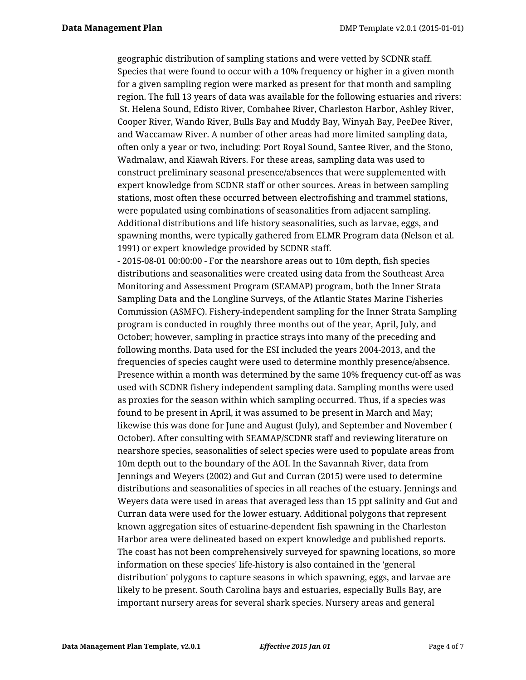geographic distribution of sampling stations and were vetted by SCDNR staff. Species that were found to occur with a 10% frequency or higher in a given month for a given sampling region were marked as present for that month and sampling region. The full 13 years of data was available for the following estuaries and rivers: St. Helena Sound, Edisto River, Combahee River, Charleston Harbor, Ashley River, Cooper River, Wando River, Bulls Bay and Muddy Bay, Winyah Bay, PeeDee River, and Waccamaw River. A number of other areas had more limited sampling data, often only a year or two, including: Port Royal Sound, Santee River, and the Stono, Wadmalaw, and Kiawah Rivers. For these areas, sampling data was used to construct preliminary seasonal presence/absences that were supplemented with expert knowledge from SCDNR staff or other sources. Areas in between sampling stations, most often these occurred between electrofishing and trammel stations, were populated using combinations of seasonalities from adjacent sampling. Additional distributions and life history seasonalities, such as larvae, eggs, and spawning months, were typically gathered from ELMR Program data (Nelson et al. 1991) or expert knowledge provided by SCDNR staff.

- 2015-08-01 00:00:00 - For the nearshore areas out to 10m depth, fish species distributions and seasonalities were created using data from the Southeast Area Monitoring and Assessment Program (SEAMAP) program, both the Inner Strata Sampling Data and the Longline Surveys, of the Atlantic States Marine Fisheries Commission (ASMFC). Fishery-independent sampling for the Inner Strata Sampling program is conducted in roughly three months out of the year, April, July, and October; however, sampling in practice strays into many of the preceding and following months. Data used for the ESI included the years 2004-2013, and the frequencies of species caught were used to determine monthly presence/absence. Presence within a month was determined by the same 10% frequency cut-off as was used with SCDNR fishery independent sampling data. Sampling months were used as proxies for the season within which sampling occurred. Thus, if a species was found to be present in April, it was assumed to be present in March and May; likewise this was done for June and August (July), and September and November ( October). After consulting with SEAMAP/SCDNR staff and reviewing literature on nearshore species, seasonalities of select species were used to populate areas from 10m depth out to the boundary of the AOI. In the Savannah River, data from Jennings and Weyers (2002) and Gut and Curran (2015) were used to determine distributions and seasonalities of species in all reaches of the estuary. Jennings and Weyers data were used in areas that averaged less than 15 ppt salinity and Gut and Curran data were used for the lower estuary. Additional polygons that represent known aggregation sites of estuarine-dependent fish spawning in the Charleston Harbor area were delineated based on expert knowledge and published reports. The coast has not been comprehensively surveyed for spawning locations, so more information on these species' life-history is also contained in the 'general distribution' polygons to capture seasons in which spawning, eggs, and larvae are likely to be present. South Carolina bays and estuaries, especially Bulls Bay, are important nursery areas for several shark species. Nursery areas and general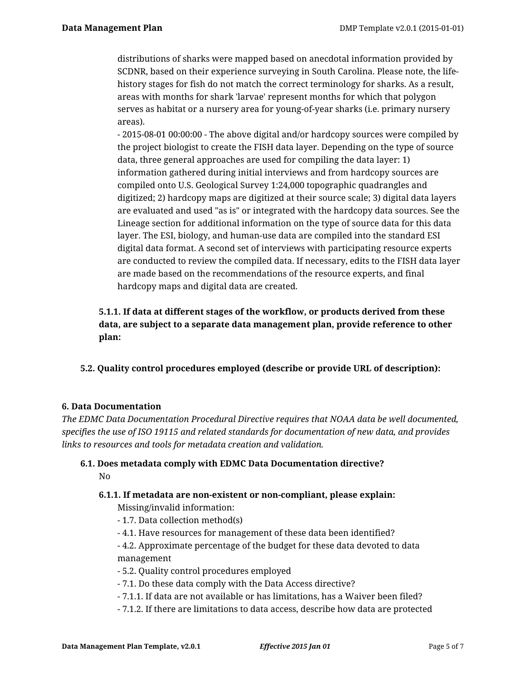distributions of sharks were mapped based on anecdotal information provided by SCDNR, based on their experience surveying in South Carolina. Please note, the lifehistory stages for fish do not match the correct terminology for sharks. As a result, areas with months for shark 'larvae' represent months for which that polygon serves as habitat or a nursery area for young-of-year sharks (i.e. primary nursery areas).

- 2015-08-01 00:00:00 - The above digital and/or hardcopy sources were compiled by the project biologist to create the FISH data layer. Depending on the type of source data, three general approaches are used for compiling the data layer: 1) information gathered during initial interviews and from hardcopy sources are compiled onto U.S. Geological Survey 1:24,000 topographic quadrangles and digitized; 2) hardcopy maps are digitized at their source scale; 3) digital data layers are evaluated and used "as is" or integrated with the hardcopy data sources. See the Lineage section for additional information on the type of source data for this data layer. The ESI, biology, and human-use data are compiled into the standard ESI digital data format. A second set of interviews with participating resource experts are conducted to review the compiled data. If necessary, edits to the FISH data layer are made based on the recommendations of the resource experts, and final hardcopy maps and digital data are created.

# **5.1.1. If data at different stages of the workflow, or products derived from these data, are subject to a separate data management plan, provide reference to other plan:**

**5.2. Quality control procedures employed (describe or provide URL of description):**

# **6. Data Documentation**

*The EDMC Data Documentation Procedural Directive requires that NOAA data be well documented, specifies the use of ISO 19115 and related standards for documentation of new data, and provides links to resources and tools for metadata creation and validation.*

# **6.1. Does metadata comply with EDMC Data Documentation directive?** No

# **6.1.1. If metadata are non-existent or non-compliant, please explain:**

Missing/invalid information:

- 1.7. Data collection method(s)
- 4.1. Have resources for management of these data been identified?
- 4.2. Approximate percentage of the budget for these data devoted to data management
- 5.2. Quality control procedures employed
- 7.1. Do these data comply with the Data Access directive?
- 7.1.1. If data are not available or has limitations, has a Waiver been filed?
- 7.1.2. If there are limitations to data access, describe how data are protected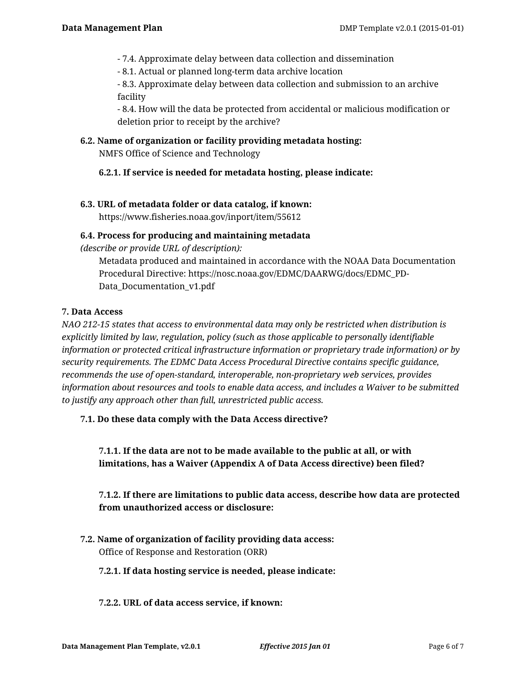- 7.4. Approximate delay between data collection and dissemination
- 8.1. Actual or planned long-term data archive location

- 8.3. Approximate delay between data collection and submission to an archive facility

- 8.4. How will the data be protected from accidental or malicious modification or deletion prior to receipt by the archive?

#### **6.2. Name of organization or facility providing metadata hosting:**

NMFS Office of Science and Technology

### **6.2.1. If service is needed for metadata hosting, please indicate:**

### **6.3. URL of metadata folder or data catalog, if known:**

https://www.fisheries.noaa.gov/inport/item/55612

### **6.4. Process for producing and maintaining metadata**

*(describe or provide URL of description):*

Metadata produced and maintained in accordance with the NOAA Data Documentation Procedural Directive: https://nosc.noaa.gov/EDMC/DAARWG/docs/EDMC\_PD-Data\_Documentation\_v1.pdf

### **7. Data Access**

*NAO 212-15 states that access to environmental data may only be restricted when distribution is explicitly limited by law, regulation, policy (such as those applicable to personally identifiable information or protected critical infrastructure information or proprietary trade information) or by security requirements. The EDMC Data Access Procedural Directive contains specific guidance, recommends the use of open-standard, interoperable, non-proprietary web services, provides information about resources and tools to enable data access, and includes a Waiver to be submitted to justify any approach other than full, unrestricted public access.*

# **7.1. Do these data comply with the Data Access directive?**

**7.1.1. If the data are not to be made available to the public at all, or with limitations, has a Waiver (Appendix A of Data Access directive) been filed?**

**7.1.2. If there are limitations to public data access, describe how data are protected from unauthorized access or disclosure:**

**7.2. Name of organization of facility providing data access:** Office of Response and Restoration (ORR)

#### **7.2.1. If data hosting service is needed, please indicate:**

#### **7.2.2. URL of data access service, if known:**